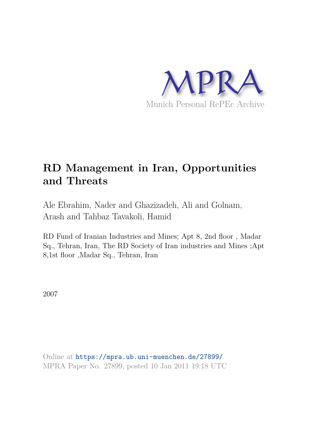

# **RD Management in Iran, Opportunities and Threats**

Ale Ebrahim, Nader and Ghazizadeh, Ali and Golnam, Arash and Tahbaz Tavakoli, Hamid

RD Fund of Iranian Industries and Mines; Apt 8, 2nd floor , Madar Sq., Tehran, Iran, The RD Society of Iran industries and Mines ;Apt 8,1st floor ,Madar Sq., Tehran, Iran

2007

Online at https://mpra.ub.uni-muenchen.de/27899/ MPRA Paper No. 27899, posted 10 Jan 2011 19:18 UTC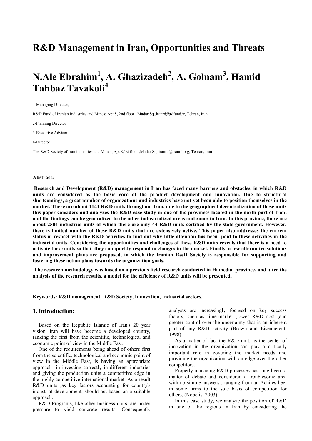## **R&D Management in Iran, Opportunities and Threats**

## **N.Ale Ebrahim<sup>1</sup> , A. Ghazizadeh<sup>2</sup> , A. Golnam<sup>3</sup> , Hamid Tahbaz Tavakoli<sup>4</sup>**

1-Managing Director,

R&D Fund of Iranian Industries and Mines; Apt 8, 2nd floor , Madar Sq.,iranrd@rdfund.ir, Tehran, Iran

2-Planning Director

3-Executive Advisor

4-Director

The R&D Society of Iran industries and Mines ;Apt 8,1st floor ,Madar Sq.,iranrd@iranrd.org, Tehran, Iran

#### **Abstract:**

 **Research and Development (R&D) management in Iran has faced many barriers and obstacles, in which R&D units are considered as the basic core of the product development and innovation. Due to structural shortcomings, a great number of organizations and industries have not yet been able to position themselves in the market. There are about 1141 R&D units throughout Iran, due to the geographical decentralization of these units this paper considers and analyzes the R&D case study in one of the provinces located in the north part of Iran, and the findings can be generalized to the other industrialized areas and zones in Iran. In this province, there are about 2504 industrial units of which there are only 44 R&D units certified by the state government. However, there is limited number of these R&D units that are extensively active. This paper also addresses the current status in respect with the R&D activities to find out why little attention has been paid to these activities in the industrial units. Considering the opportunities and challenges of these R&D units reveals that there is a need to activate these units so that they can quickly respond to changes in the market. Finally, a few alternative solutions and improvement plans are proposed, in which the Iranian R&D Society is responsible for supporting and fostering these action plans towards the organization goals.** 

 **The research methodology was based on a previous field research conducted in Hamedan province, and after the analysis of the research results, a model for the efficiency of R&D units will be presented.** 

**Keywords: R&D management, R&D Society, Innovation, Industrial sectors.** 

#### **1. introduction:**

Based on the Republic Islamic of Iran's 20 year vision, Iran will have become a developed country, ranking the first from the scientific, technological and economic point of view in the Middle East.

One of the requirements being ahead of others first from the scientific, technological and economic point of view in the Middle East, is having an appropriate approach in investing correctly in different industries and giving the production units a competitive edge in the highly competitive international market. As a result R&D units ,as key factors accounting for country's industrial development, should act based on a suitable approach.

R&D Programs, like other business units, are under pressure to yield concrete results. Consequently analysts are increasingly focused on key success factors, such as time-market ,lower R&D cost ,and greater control over the uncertainty that is an inherent part of any R&D activity (Brown and Eisenherent, 1998)

As a matter of fact the R&D unit, as the center of innovation in the organization can play a critically important role in covering the market needs and providing the organization with an edge over the other competitors.

Properly managing R&D processes has long been a matter of debate and considered a troublesome area with no simple answers ; ranging from an Achiles heel in some firms to the sole basis of competition for others, (Nobelis, 2003)

In this case study, we analyze the position of R&D in one of the regions in Iran by considering the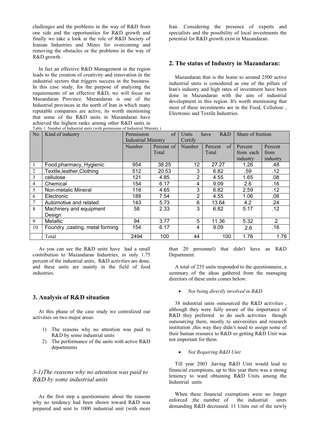challenges and the problems in the way of R&D from one side and the opportunities for R&D growth and finally we take a look at the role of R&D Society of Iranian Industries and Mines for overcoming and removing the obstacles or the problems in the way of R&D growth.

In fact an effective R&D Management in the region leads to the creation of creativity and innovation in the industrial sectors that triggers success in the business. In this case study, for the purpose of analyzing the requirements of an effective R&D, we will focus on Mazandaran Province. Mazandaran is one of the Industrial provinces in the north of Iran in which many reputable companies are active, its worth mentioning that some of the R&D units in Mazandaran have achieved the highest ranks among other R&D units in Iran. Considering the presence of experts and specialists and the possibility of local investments the potential for R&D growth exist in Mazandaran.

#### **2. The status of Industry in Mazandaran:**

Mazandaran that is the home to around 2500 active industrial units is considered as one of the pillars of Iran's industry and high rates of investment have been done in Mazandaran with the aim of industrial development in this region. It's worth mentioning that most of these investments are in the Food, Cellulose , Electronic and Textile Industries.

| N <sub>0</sub> | Table 1: Number of Industrial units (with permission of Industrial Ministry)<br>$\sigma$ f<br>Kind of industry<br>Permission |                            | Units      | R&D<br>Share of fruition<br>have |               |           |           |
|----------------|------------------------------------------------------------------------------------------------------------------------------|----------------------------|------------|----------------------------------|---------------|-----------|-----------|
|                |                                                                                                                              | <b>Industrial Ministry</b> |            | Certify                          |               |           |           |
|                |                                                                                                                              | Number                     | Percent of | Number                           | of<br>Percent | Percent   | Percent   |
|                |                                                                                                                              |                            | Total      |                                  | Total         | from each | from      |
|                |                                                                                                                              |                            |            |                                  |               | industry  | industry  |
|                | Food, pharmacy, Hygienic                                                                                                     | 954                        | 38.25      | 12                               | 27.27         | 1.26      | .48       |
| $\overline{2}$ | Textile, leather, Clothing                                                                                                   | 512                        | 20.53      | 3                                | 6.82          | .59       | .12       |
| $\overline{3}$ | cellulose                                                                                                                    | 121                        | 4.85       | 2                                | 4.55          | 1.65      | .08       |
| $\overline{4}$ | Chemical                                                                                                                     | 154                        | 6.17       | 4                                | 9.09          | 2.6       | .16       |
| 5              | Non-metalic Mineral                                                                                                          | 116                        | 4.65       | 3                                | 6.82          | 2.59      | .12       |
| 6              | Electronic                                                                                                                   | 188                        | 7.54       | 2                                | 4.55          | 1.06      | .08       |
|                | Automotive and related                                                                                                       | 143                        | 5.73       | 6                                | 13.64         | 4.2       | .24       |
| 8              | Machinery and equipment                                                                                                      | 58                         | 2.33       | 3                                | 6.82          | 5.17      | .12       |
|                | Design                                                                                                                       |                            |            |                                  |               |           |           |
| 9              | Metallic                                                                                                                     | 94                         | 3.77       | 5                                | 11.36         | 5.32      | $\cdot$ 2 |
| 10             | Foundry , casting, metal forming                                                                                             | 154                        | 6.17       | 4                                | 9.09          | .2.6      | .16       |
|                | Total                                                                                                                        | 2494                       | 100        | 44                               | 100           | 1.76      | 1.76      |

As you can see the R&D units have had a small contribution to Mazandaran Industries, in only 1.75 percent of the industrial units, R&D activities are done, and these units are mainly in the field of food industries.

#### **3. Analysis of R&D situation**

At this phase of the case study we centralized our activities on two major areas:

- 1) The reasons why no attention was paid to R&D by some industrial units
- 2) The performance of the units with active R&D departments

## *3-1)The reasons why no attention was paid to R&D by some industrial units*

As the first step a questionnaire about the reasons why no tendency had been shown toward R&D was prepared and sent to 1000 industrial unit (with more

than 20 personnel) that didn't have an R&D Department.

A total of 235 units responded to the questionnaire, a summary of the ideas gathered from the managing directors of these units comes below:

#### *Not being directly involved in R&D*

38 industrial units outsourced the R&D activities , although they were fully aware of the importance of R&D they preferred to do such activities though outsourcing them, mostly to universities and research institution ,this way they didn't need to assign some of their human resource to R&D so getting R&D Unit was not important for them.

#### *Not Requiring R&D Unit*

Till year 2003 ,having R&D Unit would lead to financial exemptions, up to this year there was a strong leniency to ward obtaining R&D Units among the Industrial units

When these financial exemptions were no longer enforced ,the number of the industrial units demanding R&D decreased. 11 Units out of the newly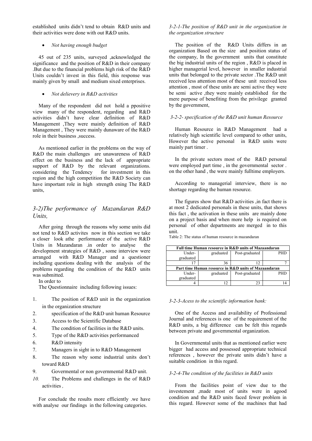established units didn't tend to obtain R&D units and their activities were done with out R&D units.

#### *Not having enough budget*

45 out of 235 units, surveyed ,acknowledged the significance and the position of R&D in their company .But due to the financial problems high risk of the R&D Units couldn't invest in this field, this response was mainly given by small and medium sixed enterprises.

#### *Not delievery in R&D activities*

Many of the respondent did not hold a ppositive view many of the respondent, regarding and R&D activities didn't have clear definition of R&D Management ,They were mainly definition of R&D Management , They were mainly dunaware of the R&D role in their business ,success.

As mentioned earlier in the problems on the way of R&D the main challenges are unawareness of R&D effect on the business and the lack of appropriate support of R&D by the relevant organizations. considering the Tendency for investment in this region and the high competition the R&D Society can have important role in high strength ening The R&D units,

## *3-2)The performance of Mazandaran R&D Units,*

After going through the reasons why some units did not tend to R&D activites now in this section we take a closer look athe performance of the active R&D Units in Mazandaran .in order to analyse the development strategies of R&D , some interview were arranged with R&D Manager and a questioner including questions dealing with the analysis of the problems regarding the condition of the R&D units was submitted.

In order to

The Questionnaire including following issues:

- 1. The position of R&D unit in the organization in the organization structure
- 2. specification of the R&D unit human Resource
- 3. Access to the Scientific Database
- 4. The condition of facilities in the R&D units.
- 5. Type of the R&D activities performanced
- 6. R&D intensity
- 7. Managers in sight in to R&D Management
- 8. The reason why some industrial units don't toward R&D
- 9. Govermental or non governmental R&D unit.
- *10.* The Problems and challenges in the of R&D activities *,*

For conclude the results more efficiently .we have with analyse our findings in the following categories.

#### *3-2-1-The position of R&D unit in the organization in the organization structure*

The position of the R&D Units differs in an organization Based on the size and position status of the company, In the government units that constitute the big industrial units of the region , R&D is placed in higher managerial level, however in smaller industrial units that belonged to the private sector .The R&D unit received less attention most of these unit received less attention , most of these units are semi active they were be semi active ,they were mainly established for the mere purpose of benefiting from the privilege granted by the government,

#### *3-2-2- specification of the R&D unit human Resource*

Human Resource in R&D Management had a relatively high scientific level compared to other units, However the active personal in R&D units were mainly part timer .

In the private sectors most of the R&D personal were employed part time , in the governmental sector . on the other hand , the were mainly fulltime employers.

According to managerial interview, there is no shortage regarding the human resource.

The figures show that R&D activities , in fact there is at most 2 dedicated personals in these units, that shows this fact , the activation in these units are mainly done on a project basis and when more help is required on personal of other departments are merged in to this unit.

| Full time Human resource in R&D units of Mazaandaran |           |                |            |
|------------------------------------------------------|-----------|----------------|------------|
| Under-                                               | graduated | Post-graduated | <b>PHD</b> |
| graduated                                            |           |                |            |
|                                                      | 36        |                |            |
| Part time Human resource in R&D units of Mazaandaran |           |                |            |
| Under-                                               | graduated | Post-graduated | <b>PHD</b> |
| graduated                                            |           |                |            |
|                                                      |           |                |            |

#### Table 2: The status of human resource in mazandaran

#### *3-2-3-Acess to the scientific information bank:*

One of the Access and availability of Professional Journal and references is one of the requirement of the R&D units, a big difference can be felt this regards between private and governmental organization.

In Governmental units that as mentioned earlier were bigger had access and possessed appropriate technical references , however the private units didn't have a suitable condition in this regard.

#### *3-2-4-The condition of the facilities in R&D units*

From the facilities point of view due to the investement ,made most of units were in agood condition and the R&D units faced fewer problem in this regard. However some of the machines that had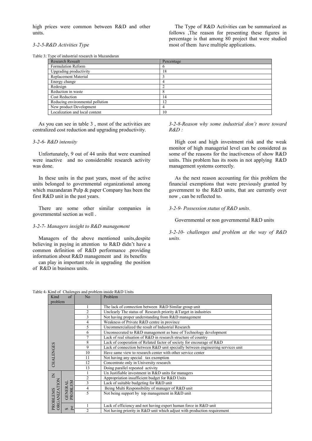high prices were common between R&D and other units.

*3-2-5-R&D Activities Type* 

The Type of R&D Activities can be summarized as follows ,The reason for presenting these figures in percentage is that among 80 project that were studied most of them have multiple applications.

## Table 3: Type of industrial research in Mazandaran

| <b>Research Resualt</b>          | Percentage |
|----------------------------------|------------|
| Formulation Reform               | 6          |
| Upgrading productivity           | 18         |
| Replacement Material             |            |
| Energy change                    | 4          |
| Redesign                         |            |
| Reduction in waste               | 8          |
| <b>Cost Reduction</b>            | 14         |
| Reducing environmental pollution | 12         |
| New product Development          | 4          |
| Localization and local content   | 10         |

As you can see in table 3 , most of the activities are centralized cost reduction and upgrading productivity.

#### *3-2-6- R&D intensity*

Unfortunately, 9 out of 44 units that were examined were inactive and no considerable research activity was done.

In these units in the past years, most of the active units belonged to governmental organizational among which mazandaran Pulp & paper Company has been the first R&D unit in the past years.

There are some other similar companies in governmental section as well .

#### *3-2-7- Managers insight to R&D management*

Managers of the above mentioned units,despite believing in paying in attention to R&D didn't have a common definition of R&D performance .providing information about R&D management and its benefits

can play in important role in upgrading the position of R&D in business units.

*3-2-8-Reason why some industrial don't more toward R&D :* 

High cost and high investment risk and the weak monitor of high managerial level can be considered as some of the reasons for the inactiveness of show R&D units. This problem has its roots in not applying R&D management systems correctly.

As the next reason accounting for this problem the financial exemptions that were previously granted by government to the R&D units, that are currently over now , can be reflected to.

*3-2-9- Possession status of R&D units.* 

Governmental or non governmental R&D units

*3-2-10- challenges and problem at the way of R&D units.* 

Table 4- Kind of Chalenges and problem inside R&D Units

| Kind                     | $\sigma$ f                             | No             | King of Charciges and problem inside Reed Office<br>Problem                     |  |  |  |
|--------------------------|----------------------------------------|----------------|---------------------------------------------------------------------------------|--|--|--|
| problem                  |                                        |                |                                                                                 |  |  |  |
|                          |                                        |                | The lack of connection between R&D Similar group unit                           |  |  |  |
|                          |                                        | $\overline{c}$ | Unclearly The status of Research priority & Target in industries                |  |  |  |
|                          |                                        |                |                                                                                 |  |  |  |
|                          |                                        | 3              | Not having proper understanding from R&D management                             |  |  |  |
|                          |                                        | 4              | Weakness of Private R&D centre in province                                      |  |  |  |
|                          |                                        | 5              | Uncommercialized the result of Industrial Research                              |  |  |  |
|                          |                                        | 6              | Unconsecrated to R&D management as base of Technology development               |  |  |  |
|                          |                                        | 7              | Lack of real situation of R&D in research structure of country                  |  |  |  |
|                          |                                        | 8              | Lack of cooperation of Related factor of society for encourage of R&D           |  |  |  |
| CHALENGES                |                                        | 9              | Lack of connection between R&D unit specially between engineering services unit |  |  |  |
|                          |                                        | 10             | Have same view to research center with other service center                     |  |  |  |
|                          |                                        | 11             | Not having any special tax exemption                                            |  |  |  |
|                          |                                        | 12             | Concentrate only in University research                                         |  |  |  |
|                          |                                        | 13             | Doing parallel repeated activity                                                |  |  |  |
|                          |                                        |                | Un Justifiable investment in R&D units for managers                             |  |  |  |
| $\mathsf{K}$             |                                        | $\overline{c}$ | Appropriation insufficient budget for R&D Units                                 |  |  |  |
|                          |                                        | 3              | Lack of suitable budgeting for R&D unit                                         |  |  |  |
|                          | <b>OBLEM</b><br><b>GENERAL</b>         | 4              | Being Multi Responsibility of manager of R&D unit                               |  |  |  |
|                          |                                        | 5              | Not being support by top management in R&D unit                                 |  |  |  |
|                          | PŘ                                     |                |                                                                                 |  |  |  |
| PROBLEMS<br>ORGANIZATION |                                        |                | Lack of efficiency and not having expert human force in R&D unit                |  |  |  |
|                          | <sub>pe</sub><br>$\boldsymbol{\omega}$ | $\mathfrak{D}$ | Not having priority in R&D unit which adjust with production requirement        |  |  |  |
|                          |                                        |                |                                                                                 |  |  |  |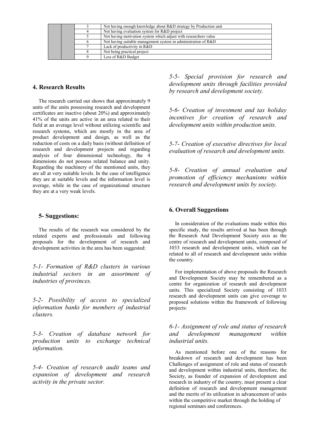|  |  | Not having enough knowledge about R&D strategy by Production unit |
|--|--|-------------------------------------------------------------------|
|  |  | Not having evaluation system for R&D project                      |
|  |  | Not having motivation system which adjust with researchers value  |
|  |  | Not having suitable management system in administration of R&D    |
|  |  | Lack of productivity in R&D                                       |
|  |  | Not being practical project                                       |
|  |  | Less of R&D Budget                                                |

## **4. Research Results**

The research carried out shows that approximately 9 units of the units possessing research and development certificates are inactive (about 20%) and approximately 41% of the units are active in an area related to their field at an average level without utilizing scientific and research systems, which are mostly in the area of product development and design, as well as the reduction of costs on a daily basis (without definition of research and development projects and regarding analysis of four dimensional technology, the 4 dimensions do not possess related balance and unity. Regarding the machinery of the mentioned units, they are all at very suitable levels. In the case of intelligence they are at suitable levels and the information level is average, while in the case of organizational structure they are at a very weak levels.

## **5- Suggestions:**

The results of the research was considered by the related experts and professionals and following proposals for the development of research and development activities in the area has been suggested:

*5-1- Formation of R&D clusters in various industrial sectors in an assortment of industries of provinces.* 

*5-2- Possibility of access to specialized information banks for members of industrial clusters.* 

*5-3- Creation of database network for production units to exchange technical information.* 

*5-4- Creation of research audit teams and expansion of development and research activity in the private sector.* 

*5-5- Special provision for research and development units through facilities provided by research and development society.* 

*5-6- Creation of investment and tax holiday incentives for creation of research and development units within production units.* 

*5-7- Creation of executive directives for local evaluation of research and development units.* 

*5-8- Creation of annual evaluation and promotion of efficiency mechanisms within research and development units by society.* 

## **6. Overall Suggestions**

In consideration of the evaluations made within this specific study, the results arrived at has been through the Research And Development Society axis as the centre of research and development units, composed of 1033 research and development units, which can be related to all of research and development units within the country.

For implementation of above proposals the Research and Development Society may be remembered as a centre for organization of research and development units. This specialized Society consisting of 1033 research and development units can give coverage to proposed solutions within the framework of following projects:

## *6-1- Assignment of role and status of research and development management within industrial units.*

As mentioned before one of the reasons for breakdown of research and development has been Challenges of assignment of role and status of research and development within industrial units, therefore, the Society, as founder of expansion of development and research in industry of the country, must present a clear definition of research and development management and the merits of its utilization in advancement of units within the competitive market through the holding of regional seminars and conferences.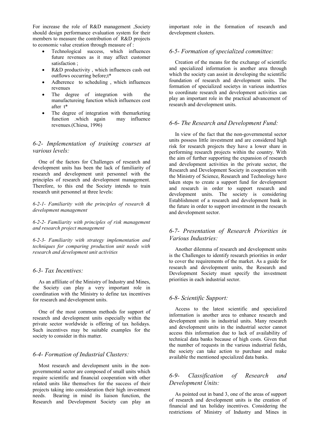For increase the role of R&D management ,Society should design performance evaluation system for their members to measure the contribution of R&D projects to economic value creation through measure of :

- Technological success, which influences future revenues as it may affect customer satisfaction ;
- R&D productivity , which influences cash out outflows occurring before;t\*
- Adherence to scheduling , which influences revenues
- The degree of integration with the manufactureing function which influences cost after t\*
- The degree of integration with themarketing function .which again may influence revenues.(Chiesa, 1996)

## *6-2- Implementation of training courses at various levels:*

One of the factors for Challenges of research and development units has been the lack of familiarity of research and development unit personnel with the principles of research and development management. Therefore, to this end the Society intends to train research unit personnel at three levels:

*6-2-1- Familiarity with the principles of research & development management* 

*6-2-2- Familiarity with principles of risk management and research project management* 

*6-2-3- Familiarity with strategy implementation and techniques for comparing production unit needs with research and development unit activities* 

#### *6-3- Tax Incentives:*

As an affiliate of the Ministry of Industry and Mines, the Society can play a very important role in coordination with the Ministry to define tax incentives for research and development units.

One of the most common methods for support of research and development units especially within the private sector worldwide is offering of tax holidays. Such incentives may be suitable examples for the society to consider in this matter.

## *6-4- Formation of Industrial Clusters:*

Most research and development units in the nongovernmental sector are composed of small units which require scientific and financial cooperation with other related units like themselves for the success of their projects taking into consideration their high investment needs. Bearing in mind its liaison function, the Research and Development Society can play an important role in the formation of research and development clusters.

### *6-5- Formation of specialized committee:*

Creation of the means for the exchange of scientific and specialized information is another area through which the society can assist in developing the scientific foundation of research and development units. The formation of specialized societys in various industries to coordinate research and development activities can play an important role in the practical advancement of research and development units.

#### *6-6- The Research and Development Fund:*

In view of the fact that the non-governmental sector units possess little investment and are considered high risk for research projects they have a lower share in performing research projects within the country. With the aim of further supporting the expansion of research and development activities in the private sector, the Research and Development Society in cooperation with the Ministry of Science, Research and Technology have taken steps to create a support fund for development and research in order to support research and development units. The society is considering Establishment of a research and development bank in the future in order to support investment in the research and development sector.

## *6-7- Presentation of Research Priorities in Various Industries:*

Another dilemma of research and development units is the Challenges to identify research priorities in order to cover the requirements of the market. As a guide for research and development units, the Research and Development Society must specify the investment priorities in each industrial sector.

#### *6-8- Scientific Support:*

Access to the latest scientific and specialized information is another area to enhance research and development units in industrial units. Many research and development units in the industrial sector cannot access this information due to lack of availability of technical data banks because of high costs. Given that the number of requests in the various industrial fields, the society can take action to purchase and make available the mentioned specialized data banks.

## *6-9- Classification of Research and Development Units:*

As pointed out in band 3, one of the areas of support of research and development units is the creation of financial and tax holiday incentives. Considering the restrictions of Ministry of Industry and Mines in